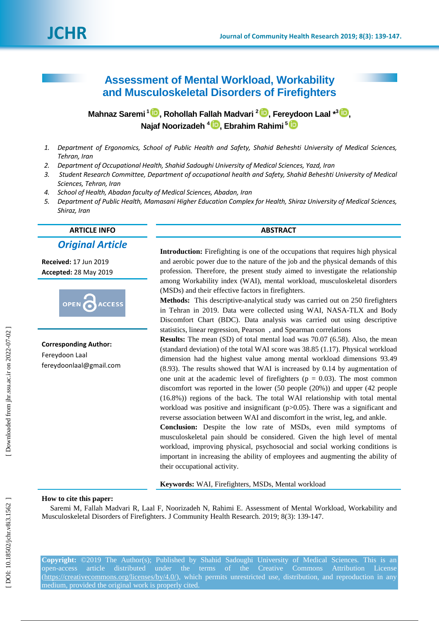# **Assessment of Mental Workload, Workability and Musculoskeletal Disorders of Firefighters**

**Mahnaz Saremi 1<sup>1</sup>D[,](https://orcid.org/0000-0002-8410-3511) Rohollah Fallah Madvari <sup>2</sup>D, Fereydoon Laal \*<sup>3</sup>D, Najaf Noorizadeh 4 , Ebrahim Rahimi 5**

- *1 . Department of Ergonomics, School of Public Health and Safety, Shahid Beheshti University of Medical Sciences, Tehran, Iran*
- *2 . Department of Occupational Health, Shahid Sadoughi University of Medical Sciences, Yazd, Iran*
- *3 . Student Research Committee, Department of occupational health and Safety, Shahid Beheshti University of Medical Sciences, Tehran, Iran*
- *4 . School of Health, Abadan faculty of Medical Sciences, Abadan, Iran*
- *5 . Department of Public Health, Mamasani Higher Education Complex for Health, Shiraz University of Medical Sciences, Shiraz, Iran*

# **ARTICLE INFO ABSTRACT**

*Original Article*

**Received:**  1 7 Jun 201 9 **Accepted:** 28 May 201 9



**Corresponding Author:** Fereydoon Laal fereydoonlaal@gmail.com

**Introduction:** Firefighting is one of the occupations that requires high physical and aerobic power due to the nature of the job and the physical demands of this profession. Therefore, the present study aimed to investigate the relationship among Workability index (WAI), mental workload, musculoskeletal disorders (MSDs) and their effective factors in firefighters.

**Methods:** This descriptive -analytical study was carried out on 250 firefighters in Tehran in 2019. Data were collected using WAI, NASA -TLX and Body Discomfort Chart (BDC). Data analysis was carried out using descriptive statistics, linear regression, Pearson , and Spearman correlation s

**Results:** The mean (SD) of total mental load was 70.07 (6.58). Also, the mean (standard deviation) of the total WAI score was 38.85 (1.17). Physical workload dimension had the highest value among mental workload dimensions 93.49 (8.93). The results showed that WAI is increased by 0.14 by augmentation of one unit at the academic level of firefighters ( $p = 0.03$ ). The most common discomfort was reported in the lower (50 people (20%) ) and upper (42 people (16.8%) ) regions of the back. The total WAI relationship with total mental workload was positive and insignificant (p>0.05). There was a significant and reverse association between WAI and discomfort in the wrist, leg, and ankle.

**Conclusion:** Despite the low rate of MSDs, even mild symptoms of musculoskeletal pain should be considered. Given the high level of mental workload, improving physical, psychosocial and social working conditions is important in increasing the ability of employees and augmenting the ability of their occupational activity.

**Keywords:** WAI, Firefighters, MSDs, Mental workload

#### **How to cite this paper:**

Saremi M, Fallah Madvari R, Laal F, Noorizadeh N, Rahimi E. Assessment of Mental Workload, Workability and Musculoskeletal Disorders of Firefighters. J Community Health Research. 2019; 8( 3): 139 -147 .

**Copyright:** ©2019 The Author(s); Published by Shahid Sadoughi University of Medical Sciences. This is an open-access article distributed under the terms of the Creative Commons Attribution License (https://creativecommons.org/licenses/by/4.0/), which permits unrestricted use, distribution, and reproduction in any medium, provided the original work is properly cited.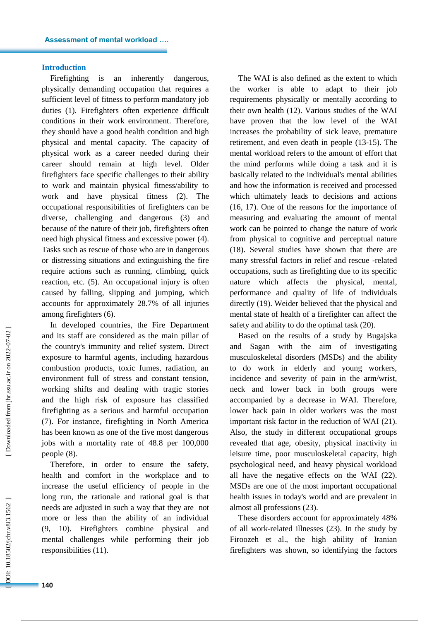#### **Introduction**

Firefighting is an inherently dangerous, physically demanding occupation that requires a sufficient level of fitness to perform mandatory job duties (1) . Firefighters often experience difficult conditions in their work environment. Therefore, they should have a good health condition and high physical and mental capacity. The capacity of physical work as a career needed during their career should remain at high level. Older firefighters face specific challenges to their ability to work and maintain physical fitness/ability to work and have physical fitness (2). The occupational responsibilities of firefighters can be diverse, challenging and dangerous (3) and because of the nature of their job, firefighters often need high physical fitness and excessive power (4). Tasks such as rescue of those who are in dangerous or distressing situations and extinguishing the fire require actions such as running, climbing, quick reaction, etc. (5) . An occupational injury is often caused by falling, slipping and jumping , which account s for approximately 28.7% of all injuries among firefighters (6) .

In developed countries, the Fire Department and its staff are considered as the main pillar of the country's immunity and relief system. Direct exposure to harmful agents, including hazardous combustion products, toxic fumes, radiation, an environment full of stress and constant tension, working shifts and dealing with tragic stories and the high risk of exposure has classified firefighting as a serious and harmful occupation (7). For instance, firefighting in North America has been known as one of the five most dangerous jobs with a mortality rate of 48.8 per 100,000 people (8) .

Therefore, in order to ensure the safety, health and comfort in the workplace and to increase the useful efficiency of people in the long run, the rational e and rational goal is that needs are adjusted in such a way that they are not more or less than the ability of an individual (9, 10). Firefighters combine physical and mental challenges while performing their job responsibilities (11) .

The WAI is also defined as the extent to which the worker is able to adapt to their job requirements physically or mentally according to their own health (12). Various studies of the WAI have proven that the low level of the WAI increases the probability of sick leave, premature retirement , and even death in people (13 -15). The mental workload refer s to the amount of effort that the mind performs while doing a task and it is basically related to the individual's mental abilities and how the information is received and processed which ultimately leads to decisions and actions (16, 17). One of the reasons for the importance of measuring and evaluating the amount of mental work can be pointed to change the nature of work from physical to cognitive and perceptual nature (18). Several studies have shown that there are many stressful factors in relief and rescue -related occupations, such as firefighting due to its specific nature which affect s the physical, mental, performance and quality of life of individuals directly (19). Weider believed that the physical and mental state of health of a firefighter can affect the safety and ability to do the optimal task (20) .

Based on the results of a study by Bugajska and Sagan with the aim of investigating musculoskeletal disorders (MSDs ) and the ability to do work in elderly and young workers, incidence and severity of pain in the arm/wrist, neck and lower back in both groups were accompanied by a decrease in WAI. Therefore, lower back pain in older workers was the most important risk factor in the reduction of WAI (21). Also, the study in different occupational groups revealed that age, obesity, physical inactivity in leisure time, poor musculoskeletal capacity, high psychological need , and heavy physical workload all have the negative effects on the WAI (22). MSDs are one of the most important occupational health issues in today's world and are prevalent in almost all professions (23) .

These disorders account for approximately 48% of all work -related illnesses (23) . In the study by Firoozeh et al., the high ability of Iranian firefighters was shown, so identifying the factors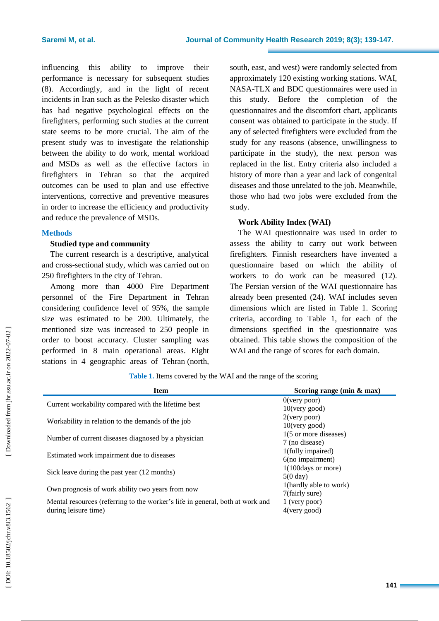influencing this ability to improve their performance is necessary for subsequent studies (8). Accordingly, and in the light of recent incidents in Iran such as the Pelesko disaster which has had negative psychological effects on the firefighters, performing such studies at the current state seems to be more crucial. The aim of the present study was to investigate the relationship between the ability to do work, mental workload and MSDs as well as the effective factors in firefighters in Tehran so that the acquired outcomes can be used to plan and use effective interventions, corrective and preventive measures in order to increase the efficiency and productivity and reduce the prevalence of MSDs.

#### **Methods**

#### **Studied type and community**

The current research is a descriptive, analytical and cross -sectional study , which was carried out on 250 firefighters in the city of Tehran.

Among more than 4000 Fire Department personnel of the Fire Department in Tehran considering confidence level of 95%, the sample size was estimated to be 200. Ultimately, the mentioned size was increased to 250 people in order to boost accuracy. Cluster sampling was performed in 8 main operational areas. Eight stations in 4 geographic areas of Tehran (north,

south, east , and west) were randomly selected from approximately 120 existing working stations. WAI, NASA -TLX and BDC questionnaires were used in this study. Before the completion of the questionnaires and the discomfort chart, applicants consent was obtained to participate in the study. If any of selected firefighters were excluded from the study for any reason s (absence, unwillingness to participate in the study), the next person was replaced in the list. Entry criteria also included a history of more than a year and lack of congenital diseases and those unrelated to the job. Meanwhile, those who had two jobs were excluded from the study.

## **Work Ability Index (WAI)**

The WAI questionnaire was used in order to assess the ability to carry out work between firefighters. Finnish researchers have invented a questionnaire based on which the ability of workers to do work can be measured  $(12)$ . The Persian version of the WAI questionnaire has already been presented (24). WAI include s seven dimensions which are listed in Table 1. Scoring criteria, according to Table 1 , for each of the dimensions specified in the questionnaire was obtained. This table shows the composition of the WAI and the range of scores for each domain.

**Item Scoring range (min & max)** Current workability compared with the lifetime best 0(very poor) 10(very good) Workability in relation to the demands of the job  $2$ (very poor) 10(very good) Number of current diseases diagnosed by a physician  $1(5 \text{ or more diseases})$ 7 (no disease) Estimated work impairment due to diseases 1(fully impaired) 6(no impairment) Sick leave during the past year (12 months)  $1(100 \text{days or more})$ 5(0 day) Own prognosis of work ability two years from now  $\frac{1(\text{hardly able to work})}{\pi}$ 7(fairly sure) Mental resources (referring to the worker's life in general, both at work and during leisure time) 1 (very poor) 4(very good)

**Table 1 .** Items covered by the WAI and the range of the scoring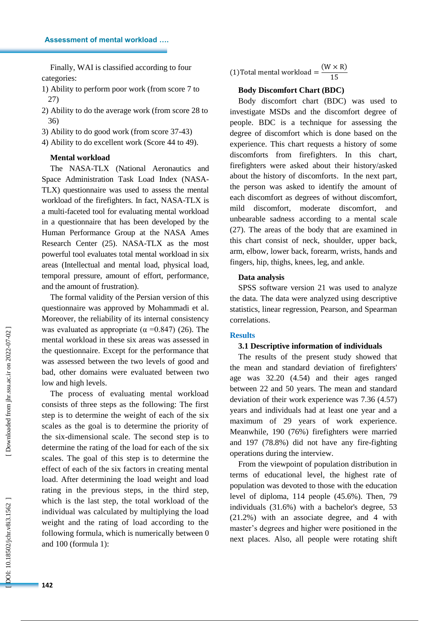Finally, WAI is classified according to four categories:

1) Ability to perform poor work (from score 7 to 27)

2) Ability to do the average work (from score 28 to 36)

3) Ability to do good work (from score 37 -43)

4) Ability to do excellent work (Score 44 to 49).

# **Mental workload**

The NASA -TLX (National Aeronautics and Space Administration Task Load Index (NASA - TLX) questionnaire was used to assess the mental workload of the firefighters. In fact, NASA -TLX is a multi -faceted tool for evaluating mental workload in a questionnaire that has been developed by the Human Performance Group at the NASA Ames Research Center (25). NASA -TLX as the most powerful tool evaluates total mental workload in six areas (Intellectual and mental load, physical load, temporal pressure, amount of effort, performance, and the amount of frustration).

The formal validity of the Persian version of this questionnaire was approved by Mohammadi et al. Moreover, the reliability of its internal consistency was evaluated as appropriate ( $\alpha$  =0.847) (26). The mental workload in these six areas was assessed in the questionnaire. Except for the performance that was assessed between the two levels of good and bad, other domains were evaluated between two low and high levels.

The process of evaluating mental workload consists of three steps as the following: The first step is to determine the weight of each of the six scales as the goal is to determine the priority of the six -dimensional scale. The second step is to determine the rating of the load for each of the six scales. The goal of this step is to determine the effect of each of the six factors in creating mental load. After determining the load weight and load rating in the previous steps, in the third step, which is the last step, the total workload of the individual was calculated by multiplying the load weight and the rating of load according to the following formula, which is numerically between 0 and 100 (formula 1) :

(1) Total mental workload =  $(W \times R)$  $\mathbf{1}$ 

#### **Body Discomfort Chart (BDC)**

Body discomfort chart (BDC) was used to investigate MSDs and the discomfort degree of people. BDC is a technique for assessing the degree of discomfort which is done based on the experience. This chart requests a history of some discomforts from firefighters. In this chart, firefighters were asked about their history/asked about the history of discomforts . In the next part, the person was asked to identify the amount of each discomfort as degrees of without discomfort, mild discomfort, moderate discomfort , and unbearable sadness according to a mental scale (27). The areas of the body that are examined in this chart consist of neck, shoulder, upper back, arm, elbow, lower back, forearm, wrists, hands and fingers, hip, thighs, knees, leg , and ankle.

#### **Data analysis**

SPSS software version 21 was used to analyze the data. The data were analyzed using descriptive statistics, linear regression, Pearson , and Spearman correlations.

### **Results**

#### **3.1 Descriptive information of individuals**

The results of the present study showed that the mean and standard deviation of firefighters' age was 32.20 (4.54 ) and their ages ranged between 22 and 50 years. The mean and standard deviation of their work experience was 7.36 (4.57 ) years and individuals had at least one year and a maximum of 29 years of work experience. Meanwhile, 190 (76%) firefighters were married and 197 (78.8%) did not have any fire -fighting operations during the interview.

From the viewpoint of population distribution in terms of educational level, the highest rate of population was devoted to those with the education level of diploma , 114 people (45.6%). Then, 79 individuals (31.6%) with a bachelor's degree, 53 (21.2%) with an associate degree , and 4 with master's degrees and higher were positioned in the next places. Also, all people were rotating shift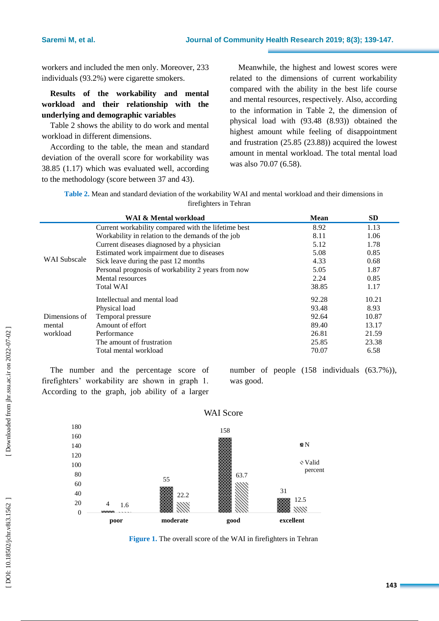workers and included the men only. Moreover, 233 individuals (93.2%) were cigarette smokers.

# **Results of the workability and mental workload and their relationship with the underlying and demographic variables**

Table 2 shows the ability to do work and mental workload in different dimensions.

According to the table, the mean and standard deviation of the overall score for workability was 38.85 (1.17 ) which was evaluated well , according to the methodology (score between 37 and 43).

Meanwhile, the highest and lowest scores were related to the dimensions of current workability compared with the ability in the best life course and mental resources , respectively. Also, according to the information in Table 2, the dimension of physical load with (93.48 (8.93 ) ) obtained the highest amount while feeling of disappointment and frustration (25.85 (23.88 ) ) acquired the lowest amount in mental workload. The total mental load was also 70.07 (6.58).

**Table 2 .** Mean and standard deviation of the workability WAI and mental workload and their dimensions in firefighters in Tehran

|                                     | WAI & Mental workload                               | <b>Mean</b> | <b>SD</b> |
|-------------------------------------|-----------------------------------------------------|-------------|-----------|
| <b>WAI</b> Subscale                 | Current workability compared with the lifetime best | 8.92        | 1.13      |
|                                     | Workability in relation to the demands of the job   | 8.11        | 1.06      |
|                                     | Current diseases diagnosed by a physician           | 5.12        | 1.78      |
|                                     | Estimated work impairment due to diseases           | 5.08        | 0.85      |
|                                     | Sick leave during the past 12 months                | 4.33        | 0.68      |
|                                     | Personal prognosis of workability 2 years from now  | 5.05        | 1.87      |
|                                     | Mental resources                                    | 2.24        | 0.85      |
|                                     | <b>Total WAI</b>                                    | 38.85       | 1.17      |
| Dimensions of<br>mental<br>workload | Intellectual and mental load                        | 92.28       | 10.21     |
|                                     | Physical load                                       | 93.48       | 8.93      |
|                                     | Temporal pressure                                   | 92.64       | 10.87     |
|                                     | Amount of effort                                    | 89.40       | 13.17     |
|                                     | Performance                                         | 26.81       | 21.59     |
|                                     | The amount of frustration                           | 25.85       | 23.38     |
|                                     | Total mental workload                               | 70.07       | 6.58      |

The number and the percentage score of firefighters' workability are shown in graph 1. According to the graph, job ability of a larger number of people (158 individuals (63.7%)), was good.



**Figure 1.** The overall score of the WAI in firefighters in Tehran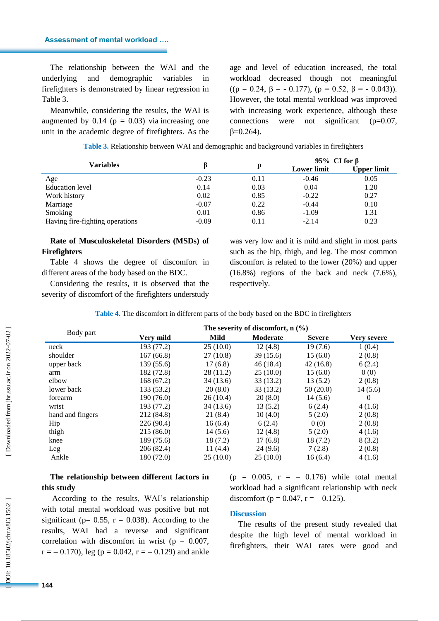#### **Assessment of mental workload ….**

The relationship between the WAI and the underlying and demographic variables in firefighters is demonstrated by linear regression in Table 3.

Meanwhile , considering the results, the WAI is augmented by 0.14 ( $p = 0.03$ ) via increasing one unit in the academic degree of firefighters. As the

age and level of education increased, the total workload decreased though not meaningful ((p = 0.24,  $\beta$  = - 0.177), (p = 0.52,  $\beta$  = - 0.043)). However, the total mental workload was improved with increasing work experience , although these connections were not significant  $(p=0.07,$  $β=0.264$ ).

| <b>Variables</b>                |         |      | 95% CI for $\beta$ |                    |
|---------------------------------|---------|------|--------------------|--------------------|
|                                 |         | р    | <b>Lower limit</b> | <b>Upper limit</b> |
| Age                             | $-0.23$ | 0.11 | $-0.46$            | 0.05               |
| <b>Education</b> level          | 0.14    | 0.03 | 0.04               | 1.20               |
| Work history                    | 0.02    | 0.85 | $-0.22$            | 0.27               |
| Marriage                        | $-0.07$ | 0.22 | $-0.44$            | 0.10               |
| Smoking                         | 0.01    | 0.86 | $-1.09$            | 1.31               |
| Having fire-fighting operations | $-0.09$ | 0.11 | $-2.14$            | 0.23               |

#### **Table 3 .** Relationship between WAI and demographic and background variables in firefighters

# **Rate of Musculoskeletal Disorders (MSDs) of Firefighters**

Table 4 shows the degree of discomfort in different areas of the body based on the BDC.

Considering the results, it is observed that the severity of discomfort of the firefighters understudy was very low and it is mild and slight in most parts such as the hip, thigh , and leg. The most common discomfort is related to the lower (20%) and upper (16.8%) regions of the back and neck (7.6%), respectively.

| Table 4. The discomfort in different parts of the body based on the BDC in firefighters |  |  |
|-----------------------------------------------------------------------------------------|--|--|
|-----------------------------------------------------------------------------------------|--|--|

|                  | The severity of discomfort, $n$ (%) |           |           |               |             |
|------------------|-------------------------------------|-----------|-----------|---------------|-------------|
| Body part        | Very mild                           | Mild      | Moderate  | <b>Severe</b> | Very severe |
| neck             | 193 (77.2)                          | 25(10.0)  | 12(4.8)   | 19(7.6)       | 1(0.4)      |
| shoulder         | 167(66.8)                           | 27(10.8)  | 39(15.6)  | 15(6.0)       | 2(0.8)      |
| upper back       | 139 (55.6)                          | 17(6.8)   | 46(18.4)  | 42(16.8)      | 6(2.4)      |
| arm              | 182 (72.8)                          | 28(11.2)  | 25(10.0)  | 15(6.0)       | 0(0)        |
| elbow            | 168 (67.2)                          | 34 (13.6) | 33 (13.2) | 13(5.2)       | 2(0.8)      |
| lower back       | 133 (53.2)                          | 20(8.0)   | 33(13.2)  | 50(20.0)      | 14(5.6)     |
| forearm          | 190 (76.0)                          | 26(10.4)  | 20(8.0)   | 14(5.6)       | 0           |
| wrist            | 193 (77.2)                          | 34 (13.6) | 13(5.2)   | 6(2.4)        | 4(1.6)      |
| hand and fingers | 212 (84.8)                          | 21(8.4)   | 10(4.0)   | 5(2.0)        | 2(0.8)      |
| Hip              | 226 (90.4)                          | 16(6.4)   | 6(2.4)    | 0(0)          | 2(0.8)      |
| thigh            | 215(86.0)                           | 14(5.6)   | 12(4.8)   | 5(2.0)        | 4(1.6)      |
| knee             | 189 (75.6)                          | 18 (7.2)  | 17(6.8)   | 18 (7.2)      | 8(3.2)      |
| Leg              | 206 (82.4)                          | 11(4.4)   | 24(9.6)   | 7(2.8)        | 2(0.8)      |
| Ankle            | 180 (72.0)                          | 25(10.0)  | 25(10.0)  | 16(6.4)       | 4(1.6)      |

# **The relationship between different factors in this study**

According to the results, WAI's relationship with total mental workload was positive but not significant ( $p = 0.55$ ,  $r = 0.038$ ). According to the results, WAI had a reverse and significant correlation with discomfort in wrist ( $p = 0.007$ ,  $r = -0.170$ , leg ( $p = 0.042$ ,  $r = -0.129$ ) and ankle

 $(p = 0.005, r = -0.176)$  while total mental workload had a significant relationship with neck discomfort ( $p = 0.047$ ,  $r = -0.125$ ).

# **Discussion**

The results of the present study revealed that despite the high level of mental workload in firefighters, their WAI rates were good and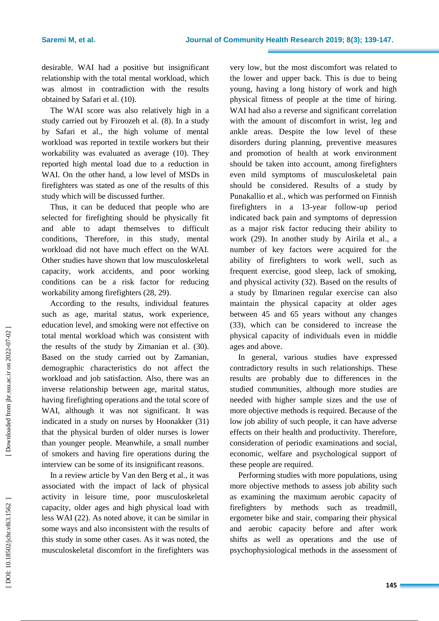desirable. WAI had a positive but insignificant relationship with the total mental workload , which was almost in contradiction with the results obtained by Safari et al . (10) .

The WAI score was also relatively high in a study carried out by Firoozeh et al. (8). In a study by Safari et al., the high volume of mental workload was reported in textile workers but their workability was evaluated as average (10). They reported high mental load due to a reduction in WAI. On the other hand, a low level of MSDs in firefighters was stated as one of the results of this study which will be discussed further.

Thus, it can be deduced that people who are selected for firefighting should be physically fit and able to adapt themselves to difficult conditions, Therefore, in this study, mental workload did not have much effect on the WAI . Other studies have shown that low musculoskeletal capacity, work accidents , and poor working conditions can be a risk factor for reducing workability among firefighters (28, 29) .

According to the results, individual features such as age, marital status, work experience, education level , and smoking were not effective on total mental workload which was consistent with the results of the study by Zimanian et al. (30). Based on the study carried out by Zamanian, demographic characteristics do not affect the workload and job satisfaction. Also, there was an inverse relationship between age, marital status, having firefighting operations and the total score of WAI, although it was not significant. It was indicated in a study on nurses by Hoonakker (31) that the physical burden of older nurses is lower than younger people. Meanwhile, a small number of smokers and having fire operations during the interview can be some of its insignificant reasons.

In a review article by Van den Berg et al., it was associated with the impact of lack of physical activity in leisure time, poor musculoskeletal capacity, older ages and high physical load with less WAI (22) . As noted above, it can be similar in some ways and also inconsistent with the results of this study in some other cases. As it was noted, the musculoskeletal discomfort in the firefighters was

very low , but the most discomfort was related to the lower and upper back. This is due to being young, having a long history of work and high physical fitness of people at the time of hiring. WAI had also a reverse and significant correlation with the amount of discomfort in wrist, leg and ankle areas. Despite the low level of these disorders during planning, preventive measures and promotion of health at work environment should be taken into account , among firefighters even mild symptoms of musculoskeletal pain should be considered. Results of a study by Punakallio et al., which was performed on Finnish firefighters in a 13 -year follow -up period indicate d back pain and symptoms of depression as a major risk factor reducing their ability to work (29). In another study by Airila et al., a number of key factors were acquired for the ability of firefighters to work well , such as frequent exercise, good sleep, lack of smoking, and physical activity (32). Based on the results of a study by Ilmarinen regular exercise can also maintain the physical capacity at older ages between 45 and 65 years without any change s (33) , which can be considered to increase the physical capacity of individuals even in middle ages and above.

In general, various studies have expressed contradictory results in such relationships. These results are probably due to differences in the studied communities , although more studies are needed with higher sample sizes and the use of more objective methods is required. Because of the low job ability of such people, it can have adverse effects on their health and productivity. Therefore, consideration of periodic examinations and social, economic, welfare and psychological support of these people are required.

Performing studies with more populations, using more objective methods to assess job ability such as examining the maximum aerobic capacity of firefighters by methods such as treadmill, ergometer bike and stair, comparing their physical and aerobic capacity before and after work shifts as well as operations and the use of psychophysiological methods in the assessment of

Downloaded from jhr.ssu.ac.ir on 2022-07-02 ]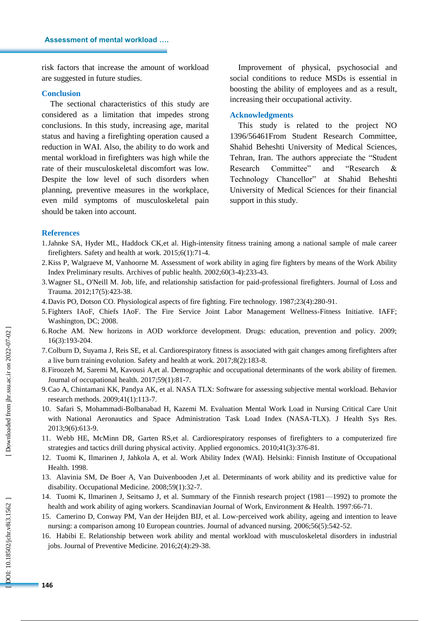risk factors that increase the amount of workload are suggested in future studies.

#### **Conclusion**

The sectional characteristics of this study are considered as a limitation that impedes strong conclusions. In this study, increasing age, marital status and having a firefighting operation caused a reduction in WAI. Also, the ability to do work and mental workload in firefighters was high while the rate of their musculoskeletal discomfort was low. Despite the low level of such disorders when planning , preventive measures in the workplace, even mild symptoms of musculoskeletal pain should be taken into account.

Improvement of physical, psychosocial and social conditions to reduce MSDs is essential in boosting the ability of employees and as a result, increasing their occupational activity.

#### **Acknowledgments**

This study is related to the project NO 1396/56461From Student Research Committee, Shahid Beheshti University of Medical Sciences, Tehran, Iran. The authors appreciate the "Student" Research Committee" and "Research  $\&$ Technology Chancellor" at Shahid Beheshti University of Medical Sciences for their financial support in this study .

#### **References**

- 1.Jahnke SA, Hyder ML, Haddock CK,et al. High -intensity fitness training among a national sample of male career firefighters. Safety and health at work. 2015;6(1):71 -4.
- 2.Kiss P, Walgraeve M, Vanhoorne M. Assessment of work ability in aging fire fighters by means of the Work Ability Index Preliminary results. Archives of public health. 2002;60(3 -4):233 -43.
- 3.Wagner SL, O'Neill M. Job, life, and relationship satisfaction for paid -professional firefighters. Journal of Loss and Trauma. 2012;17(5):423 -38.
- 4.Davis PO, Dotson CO. Physiological aspects of fire fighting. Fire technology. 1987;23(4):280 -91.
- 5.Fighters IAoF, Chiefs IAoF. The Fire Service Joint Labor Management Wellness -Fitness Initiative. IAFF; Washington, DC; 2008.
- 6.Roche AM. New horizons in AOD workforce development. Drugs: education, prevention and policy. 2009; 16(3):193 -204.
- 7.Colburn D, Suyama J, Reis SE, et al. Cardiorespiratory fitness is associated with gait changes among firefighters after a live burn training evolution. Safety and health at work. 2017;8(2):183 -8.
- 8.Firoozeh M, Saremi M, Kavousi A,et al. Demographic and occupational determinants of the work ability of firemen. Journal of occupational health. 2017;59(1):81 -7.
- 9.Cao A, Chintamani KK, Pandya AK, et al . NASA TLX: Software for assessing subjective mental workload. Behavior research methods. 2009;41(1):113 -7.
- 10. Safari S, Mohammadi -Bolbanabad H, Kazemi M. Evaluation Mental Work Load in Nursing Critical Care Unit with National Aeronautics and Space Administration Task Load Index (NASA-TLX). J Health Sys Res. 2013;9(6):613 -9.
- 11. Webb HE, McMinn DR, Garten RS,et al. Cardiorespiratory responses of firefighters to a computerized fire strategies and tactics drill during physical activity. Applied ergonomics. 2010;41(3):376 -81.
- 12. Tuomi K, Ilmarinen J, Jahkola A, et al. Work Ability Index (WAI). Helsinki: Finnish Institute of Occupational Health. 1998.
- 13. Alavinia SM, De Boer A, Van Duivenbooden J,et al. Determinants of work ability and its predictive value for disability. Occupational Medicine. 2008;59(1):32 -7.
- 14. Tuomi K, Ilmarinen J, Seitsamo J, et al. Summary of the Finnish research project (1981 —1992) to promote the health and work ability of aging workers. Scandinavian Journal of Work, Environment & Health. 1997:66-71.
- 15. Camerino D, Conway PM, Van der Heijden BIJ, et al. Low ‐perceived work ability, ageing and intention to leave nursing: a comparison among 10 European countries. Journal of advanced nursing. 2006;56(5):542 -52.
- 16. Habibi E. Relationship between work ability and mental workload with musculoskeletal disorders in industrial jobs. Journal of Preventive Medicine. 2016;2(4):29 -38.